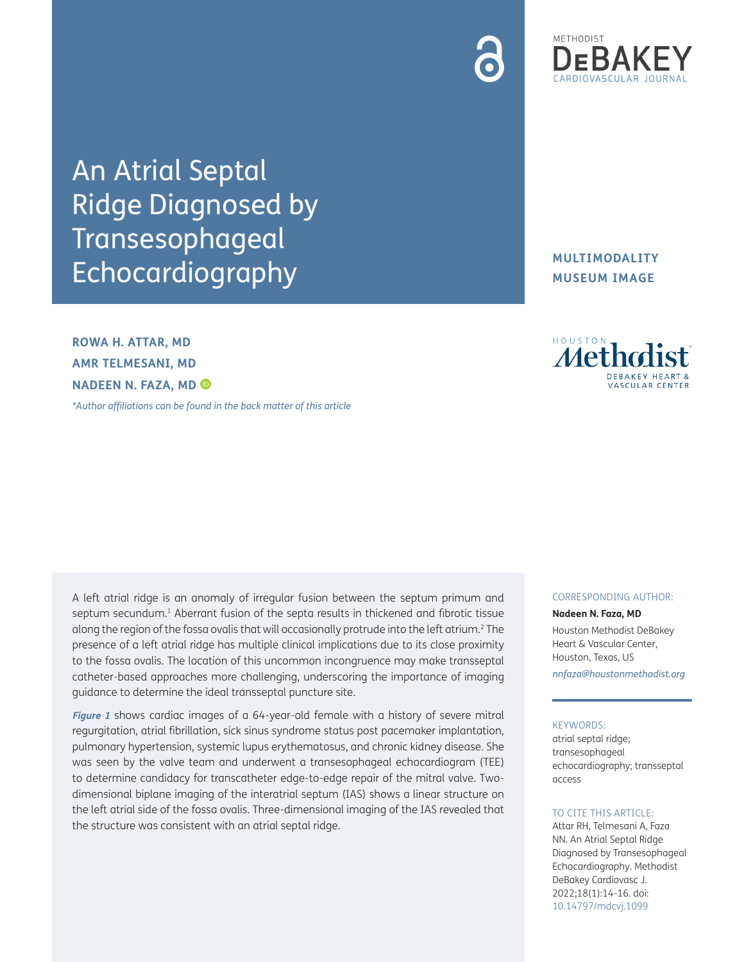

An Atrial Septal Ridge Diagnosed by Transesophageal Echocardiography

**ROWA H. ATTAR, MD AMR TELMESANI, MD NADEEN N. FAZA, MD**

*[\\*Author affiliations can be found in the back matter of this article](#page-1-0)*

A left atrial ridge is an anomaly of irregular fusion between the septum primum and septum secundum.<sup>1</sup> Aberrant fusion of the septa results in thickened and fibrotic tissue along the region of the fossa ovalis that will occasionally protrude into the left atrium.[2](#page-1-2) The presence of a left atrial ridge has multiple clinical implications due to its close proximity to the fossa ovalis. The location of this uncommon incongruence may make transseptal catheter-based approaches more challenging, underscoring the importance of imaging guidance to determine the ideal transseptal puncture site.

**[Figure 1](#page-1-3)** shows cardiac images of a 64-year-old female with a history of severe mitral regurgitation, atrial fibrillation, sick sinus syndrome status post pacemaker implantation, pulmonary hypertension, systemic lupus erythematosus, and chronic kidney disease. She was seen by the valve team and underwent a transesophageal echocardiogram (TEE) to determine candidacy for transcatheter edge-to-edge repair of the mitral valve. Twodimensional biplane imaging of the interatrial septum (IAS) shows a linear structure on the left atrial side of the fossa ovalis. Three-dimensional imaging of the IAS revealed that the structure was consistent with an atrial septal ridge.

# **MULTIMODALITY MUSEUM IMAGE**



#### CORRESPONDING AUTHOR:

**Nadeen N. Faza, MD** Houston Methodist DeBakey Heart & Vascular Center, Houston, Texas, US *[nnfaza@houstonmethodist.org](mailto:nnfaza@houstonmethodist.org)*

### KEYWORDS:

atrial septal ridge; transesophageal echocardiography; transseptal access

### TO CITE THIS ARTICLE:

Attar RH, Telmesani A, Faza NN. An Atrial Septal Ridge Diagnosed by Transesophageal Echocardiography. Methodist DeBakey Cardiovasc J. 2022;18(1):14-16. doi: [10.14797/mdcvj.1099](https://doi.org/10.14797/mdcvj.1099)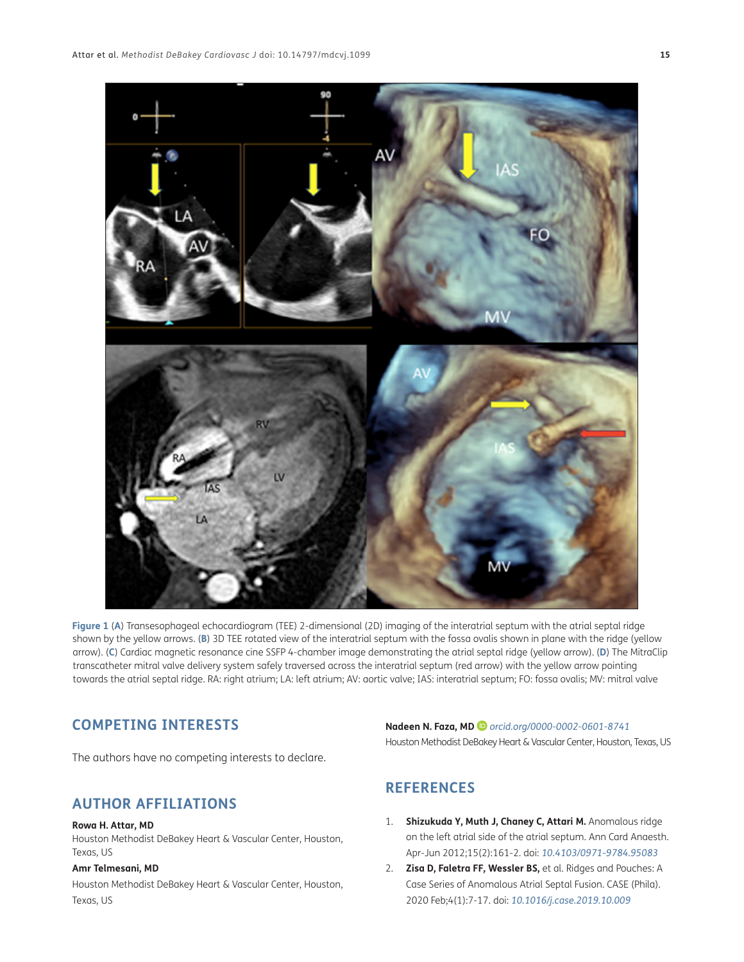

<span id="page-1-3"></span>**Figure 1** (**A**) Transesophageal echocardiogram (TEE) 2-dimensional (2D) imaging of the interatrial septum with the atrial septal ridge shown by the yellow arrows. (**B**) 3D TEE rotated view of the interatrial septum with the fossa ovalis shown in plane with the ridge (yellow arrow). (**C**) Cardiac magnetic resonance cine SSFP 4-chamber image demonstrating the atrial septal ridge (yellow arrow). (**D**) The MitraClip transcatheter mitral valve delivery system safely traversed across the interatrial septum (red arrow) with the yellow arrow pointing towards the atrial septal ridge. RA: right atrium; LA: left atrium; AV: aortic valve; IAS: interatrial septum; FO: fossa ovalis; MV: mitral valve

# **COMPETING INTERESTS**

The authors have no competing interests to declare.

# <span id="page-1-0"></span>**AUTHOR AFFILIATIONS**

#### **Rowa H. Attar, MD**

Houston Methodist DeBakey Heart & Vascular Center, Houston, Texas, US

## **Amr Telmesani, MD**

Houston Methodist DeBakey Heart & Vascular Center, Houston, Texas, US

# **Nadeen N. Faza, MD** *[orcid.org/0000-0002-0601-8741](https://orcid.org/0000-0002-0601-8741)* Houston Methodist DeBakey Heart & Vascular Center, Houston, Texas, US

# **REFERENCES**

- <span id="page-1-1"></span>1. **Shizukuda Y, Muth J, Chaney C, Attari M.** Anomalous ridge on the left atrial side of the atrial septum. Ann Card Anaesth. Apr-Jun 2012;15(2):161-2. doi: *[10.4103/0971-9784.95083](https://doi.org/10.4103/0971-9784.95083 )*
- <span id="page-1-2"></span>2. **Zisa D, Faletra FF, Wessler BS,** et al. Ridges and Pouches: A Case Series of Anomalous Atrial Septal Fusion. CASE (Phila). 2020 Feb;4(1):7-17. doi: *[10.1016/j.case.2019.10.009](ttps://doi.org/10.1016/j.case.2019.10.009)*